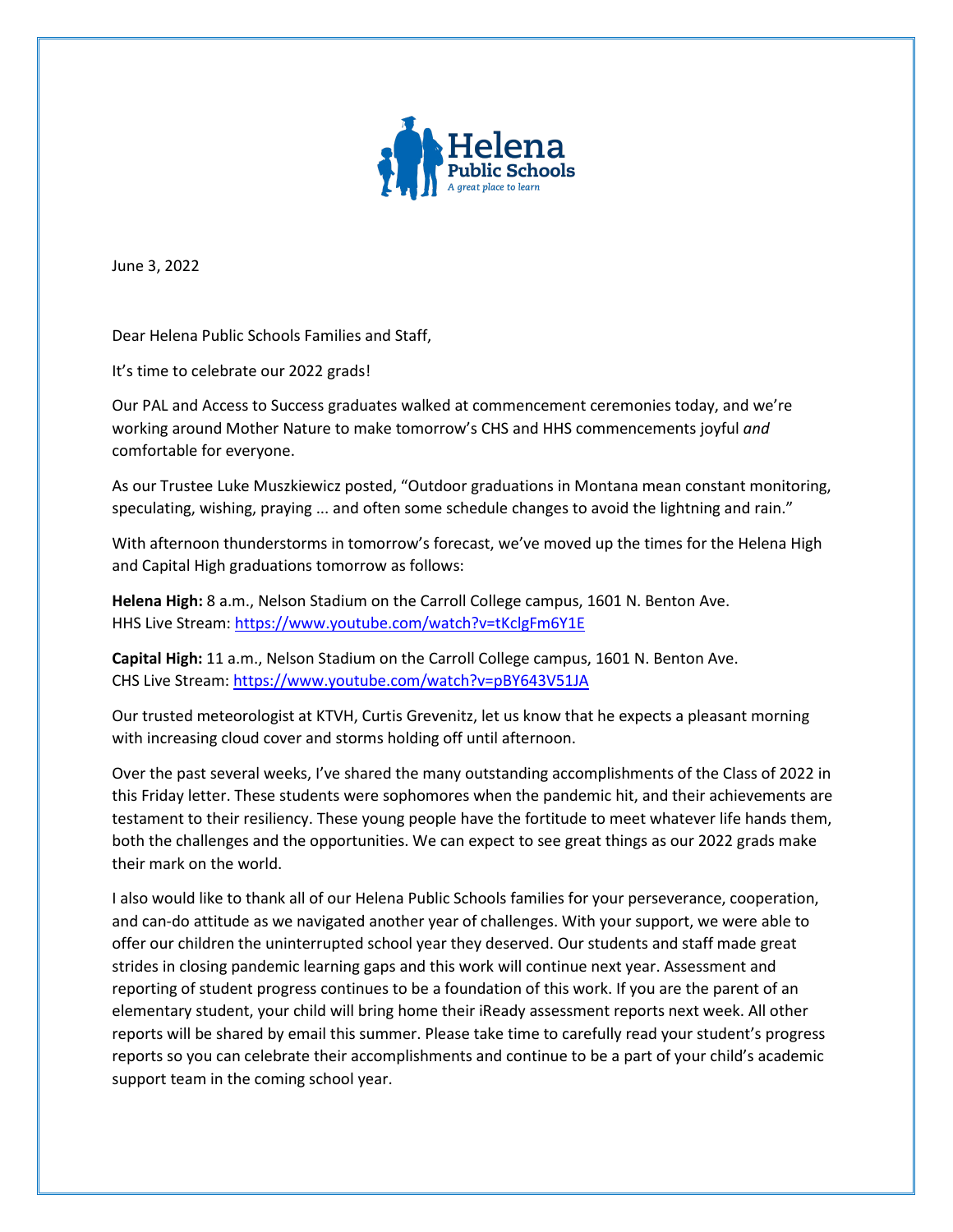

June 3, 2022

Dear Helena Public Schools Families and Staff,

It's time to celebrate our 2022 grads!

Our PAL and Access to Success graduates walked at commencement ceremonies today, and we're working around Mother Nature to make tomorrow's CHS and HHS commencements joyful *and* comfortable for everyone.

As our Trustee Luke Muszkiewicz posted, "Outdoor graduations in Montana mean constant monitoring, speculating, wishing, praying ... and often some schedule changes to avoid the lightning and rain."

With afternoon thunderstorms in tomorrow's forecast, we've moved up the times for the Helena High and Capital High graduations tomorrow as follows:

**Helena High:** 8 a.m., Nelson Stadium on the Carroll College campus, 1601 N. Benton Ave. HHS Live Stream:<https://www.youtube.com/watch?v=tKclgFm6Y1E>

**Capital High:** 11 a.m., Nelson Stadium on the Carroll College campus, 1601 N. Benton Ave. CHS Live Stream:<https://www.youtube.com/watch?v=pBY643V51JA>

Our trusted meteorologist at KTVH, Curtis Grevenitz, let us know that he expects a pleasant morning with increasing cloud cover and storms holding off until afternoon.

Over the past several weeks, I've shared the many outstanding accomplishments of the Class of 2022 in this Friday letter. These students were sophomores when the pandemic hit, and their achievements are testament to their resiliency. These young people have the fortitude to meet whatever life hands them, both the challenges and the opportunities. We can expect to see great things as our 2022 grads make their mark on the world.

I also would like to thank all of our Helena Public Schools families for your perseverance, cooperation, and can-do attitude as we navigated another year of challenges. With your support, we were able to offer our children the uninterrupted school year they deserved. Our students and staff made great strides in closing pandemic learning gaps and this work will continue next year. Assessment and reporting of student progress continues to be a foundation of this work. If you are the parent of an elementary student, your child will bring home their iReady assessment reports next week. All other reports will be shared by email this summer. Please take time to carefully read your student's progress reports so you can celebrate their accomplishments and continue to be a part of your child's academic support team in the coming school year.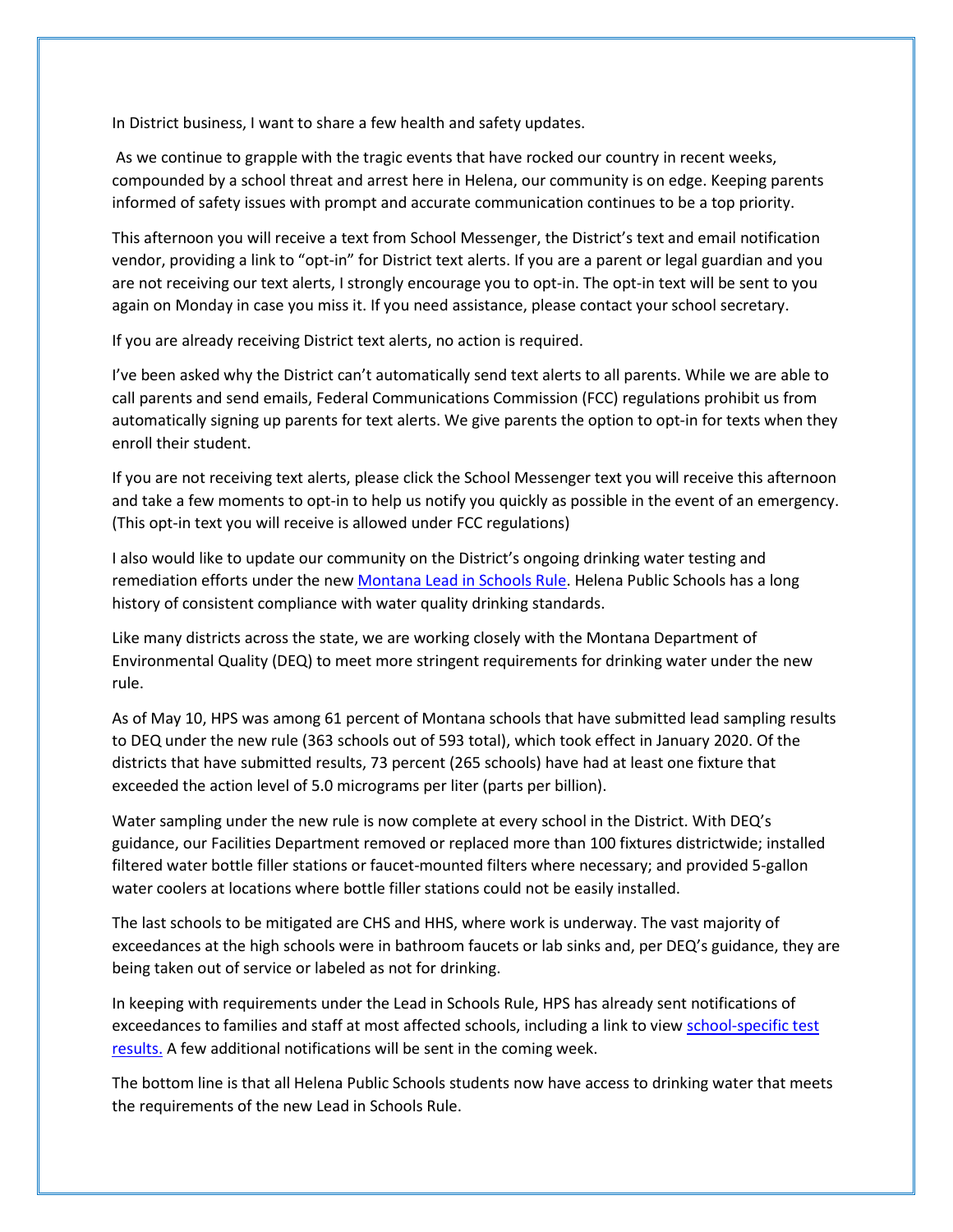In District business, I want to share a few health and safety updates.

As we continue to grapple with the tragic events that have rocked our country in recent weeks, compounded by a school threat and arrest here in Helena, our community is on edge. Keeping parents informed of safety issues with prompt and accurate communication continues to be a top priority.

This afternoon you will receive a text from School Messenger, the District's text and email notification vendor, providing a link to "opt-in" for District text alerts. If you are a parent or legal guardian and you are not receiving our text alerts, I strongly encourage you to opt-in. The opt-in text will be sent to you again on Monday in case you miss it. If you need assistance, please contact your school secretary.

If you are already receiving District text alerts, no action is required.

I've been asked why the District can't automatically send text alerts to all parents. While we are able to call parents and send emails, Federal Communications Commission (FCC) regulations prohibit us from automatically signing up parents for text alerts. We give parents the option to opt-in for texts when they enroll their student.

If you are not receiving text alerts, please click the School Messenger text you will receive this afternoon and take a few moments to opt-in to help us notify you quickly as possible in the event of an emergency. (This opt-in text you will receive is allowed under FCC regulations)

I also would like to update our community on the District's ongoing drinking water testing and remediation efforts under the new [Montana Lead in Schools Rule.](https://mtdeq.equisonline.com/Default.aspx?d=16234650&auth=basic%20cHVibGljOjhaOEtSN0VQV3dVaA%3D%3D) Helena Public Schools has a long history of consistent compliance with water quality drinking standards.

Like many districts across the state, we are working closely with the Montana Department of Environmental Quality (DEQ) to meet more stringent requirements for drinking water under the new rule.

As of May 10, HPS was among 61 percent of Montana schools that have submitted lead sampling results to DEQ under the new rule (363 schools out of 593 total), which took effect in January 2020. Of the districts that have submitted results, 73 percent (265 schools) have had at least one fixture that exceeded the action level of 5.0 micrograms per liter (parts per billion).

Water sampling under the new rule is now complete at every school in the District. With DEQ's guidance, our Facilities Department removed or replaced more than 100 fixtures districtwide; installed filtered water bottle filler stations or faucet-mounted filters where necessary; and provided 5-gallon water coolers at locations where bottle filler stations could not be easily installed.

The last schools to be mitigated are CHS and HHS, where work is underway. The vast majority of exceedances at the high schools were in bathroom faucets or lab sinks and, per DEQ's guidance, they are being taken out of service or labeled as not for drinking.

In keeping with requirements under the Lead in Schools Rule, HPS has already sent notifications of exceedances to families and staff at most affected schools, including a link to view school-specific test [results.](https://mtdeq.equisonline.com/Default.aspx?d=16234650&auth=basic%20cHVibGljOjhaOEtSN0VQV3dVaA%3D%3D) A few additional notifications will be sent in the coming week.

The bottom line is that all Helena Public Schools students now have access to drinking water that meets the requirements of the new Lead in Schools Rule.